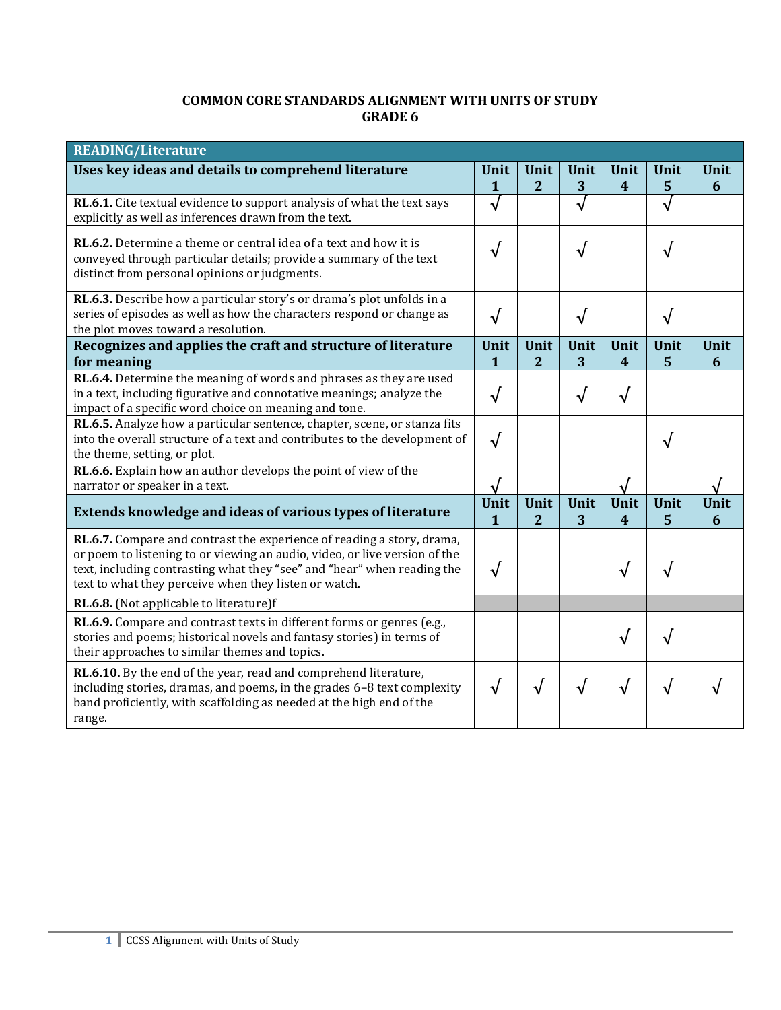| <b>READING/Literature</b>                                                                                                                                                                                                                                                                |                         |                             |                         |                                        |            |           |
|------------------------------------------------------------------------------------------------------------------------------------------------------------------------------------------------------------------------------------------------------------------------------------------|-------------------------|-----------------------------|-------------------------|----------------------------------------|------------|-----------|
| Uses key ideas and details to comprehend literature                                                                                                                                                                                                                                      | Unit<br>$\mathbf{1}$    | <b>Unit</b><br>$\mathbf{2}$ | <b>Unit</b><br>3        | <b>Unit</b><br>$\overline{\mathbf{4}}$ | Unit<br>5  | Unit<br>6 |
| RL.6.1. Cite textual evidence to support analysis of what the text says<br>explicitly as well as inferences drawn from the text.                                                                                                                                                         | $\overline{\mathsf{v}}$ |                             | $\overline{\mathsf{v}}$ |                                        | √          |           |
| RL.6.2. Determine a theme or central idea of a text and how it is<br>conveyed through particular details; provide a summary of the text<br>distinct from personal opinions or judgments.                                                                                                 | √                       |                             | √                       |                                        | √          |           |
| RL.6.3. Describe how a particular story's or drama's plot unfolds in a<br>series of episodes as well as how the characters respond or change as<br>the plot moves toward a resolution.                                                                                                   | √                       |                             | $\sqrt{ }$              |                                        | √          |           |
| Recognizes and applies the craft and structure of literature<br>for meaning                                                                                                                                                                                                              | Unit<br>$\mathbf{1}$    | Unit<br>$\overline{2}$      | Unit<br>3               | Unit<br>$\overline{\mathbf{4}}$        | Unit<br>5  | Unit<br>6 |
| RL.6.4. Determine the meaning of words and phrases as they are used<br>in a text, including figurative and connotative meanings; analyze the<br>impact of a specific word choice on meaning and tone.                                                                                    | √                       |                             | √                       | √                                      |            |           |
| RL.6.5. Analyze how a particular sentence, chapter, scene, or stanza fits<br>into the overall structure of a text and contributes to the development of<br>the theme, setting, or plot.                                                                                                  | $\sqrt{ }$              |                             |                         |                                        | $\sqrt{ }$ |           |
| RL.6.6. Explain how an author develops the point of view of the<br>narrator or speaker in a text.                                                                                                                                                                                        |                         |                             |                         |                                        |            |           |
| Extends knowledge and ideas of various types of literature                                                                                                                                                                                                                               | Unit<br>$\mathbf{1}$    | Unit<br>$\overline{2}$      | Unit<br>3               | Unit<br>$\overline{\mathbf{4}}$        | Unit<br>5  | Unit<br>6 |
| RL.6.7. Compare and contrast the experience of reading a story, drama,<br>or poem to listening to or viewing an audio, video, or live version of the<br>text, including contrasting what they "see" and "hear" when reading the<br>text to what they perceive when they listen or watch. | √                       |                             |                         | √                                      | √          |           |
| RL.6.8. (Not applicable to literature)f                                                                                                                                                                                                                                                  |                         |                             |                         |                                        |            |           |
| RL.6.9. Compare and contrast texts in different forms or genres (e.g.,<br>stories and poems; historical novels and fantasy stories) in terms of<br>their approaches to similar themes and topics.                                                                                        |                         |                             |                         | √                                      | √          |           |
| RL.6.10. By the end of the year, read and comprehend literature,<br>including stories, dramas, and poems, in the grades 6-8 text complexity<br>band proficiently, with scaffolding as needed at the high end of the<br>range.                                                            | $\sqrt{}$               | $\sqrt{ }$                  | $\sqrt{ }$              | $\sqrt{}$                              | √          |           |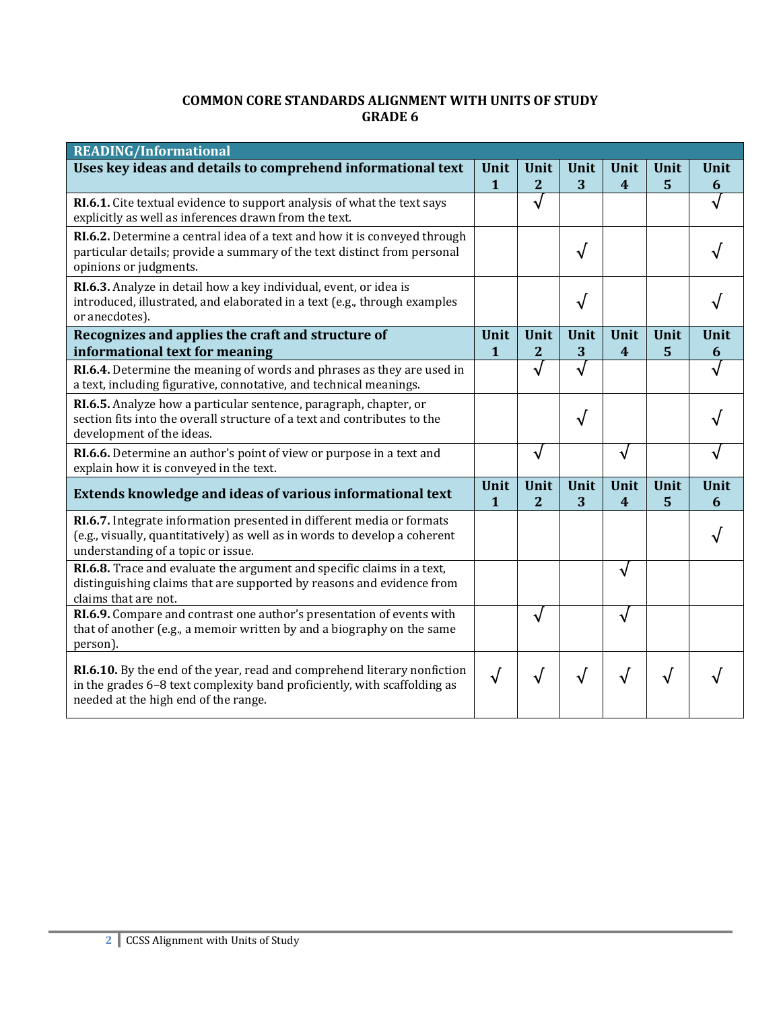| <b>READING/Informational</b>                                                                                                                                                                 |                      |                      |            |                                 |           |           |
|----------------------------------------------------------------------------------------------------------------------------------------------------------------------------------------------|----------------------|----------------------|------------|---------------------------------|-----------|-----------|
| Uses key ideas and details to comprehend informational text                                                                                                                                  | Unit<br>$\mathbf{1}$ | Unit<br>$\mathbf{2}$ | Unit<br>3  | Unit<br>$\overline{\mathbf{4}}$ | Unit<br>5 | Unit<br>6 |
| RI.6.1. Cite textual evidence to support analysis of what the text says<br>explicitly as well as inferences drawn from the text.                                                             |                      | $\sqrt{}$            |            |                                 |           |           |
| RI.6.2. Determine a central idea of a text and how it is conveyed through<br>particular details; provide a summary of the text distinct from personal<br>opinions or judgments.              |                      |                      | $\sqrt{ }$ |                                 |           |           |
| RI.6.3. Analyze in detail how a key individual, event, or idea is<br>introduced, illustrated, and elaborated in a text (e.g., through examples<br>or anecdotes).                             |                      |                      | $\sqrt{ }$ |                                 |           |           |
| Recognizes and applies the craft and structure of<br>informational text for meaning                                                                                                          | Unit<br>$\mathbf{1}$ | Unit<br>$\mathbf{2}$ | Unit<br>3  | Unit<br>$\boldsymbol{4}$        | Unit<br>5 | Unit<br>6 |
| RI.6.4. Determine the meaning of words and phrases as they are used in<br>a text, including figurative, connotative, and technical meanings.                                                 |                      | $\sqrt{ }$           | Ń          |                                 |           |           |
| RI.6.5. Analyze how a particular sentence, paragraph, chapter, or<br>section fits into the overall structure of a text and contributes to the<br>development of the ideas.                   |                      |                      | $\sqrt{ }$ |                                 |           |           |
| RI.6.6. Determine an author's point of view or purpose in a text and<br>explain how it is conveyed in the text.                                                                              |                      | √                    |            | √                               |           |           |
| Extends knowledge and ideas of various informational text                                                                                                                                    | Unit<br>$\mathbf{1}$ | Unit<br>$\mathbf{2}$ | Unit<br>3  | Unit<br>$\overline{\mathbf{4}}$ | Unit<br>5 | Unit<br>6 |
| RI.6.7. Integrate information presented in different media or formats<br>(e.g., visually, quantitatively) as well as in words to develop a coherent<br>understanding of a topic or issue.    |                      |                      |            |                                 |           |           |
| RI.6.8. Trace and evaluate the argument and specific claims in a text,<br>distinguishing claims that are supported by reasons and evidence from<br>claims that are not.                      |                      |                      |            | √                               |           |           |
| RI.6.9. Compare and contrast one author's presentation of events with<br>that of another (e.g., a memoir written by and a biography on the same<br>person).                                  |                      | √                    |            | √                               |           |           |
| RI.6.10. By the end of the year, read and comprehend literary nonfiction<br>in the grades 6-8 text complexity band proficiently, with scaffolding as<br>needed at the high end of the range. | √                    | $\sqrt{ }$           | $\sqrt{}$  | $\sqrt{}$                       |           |           |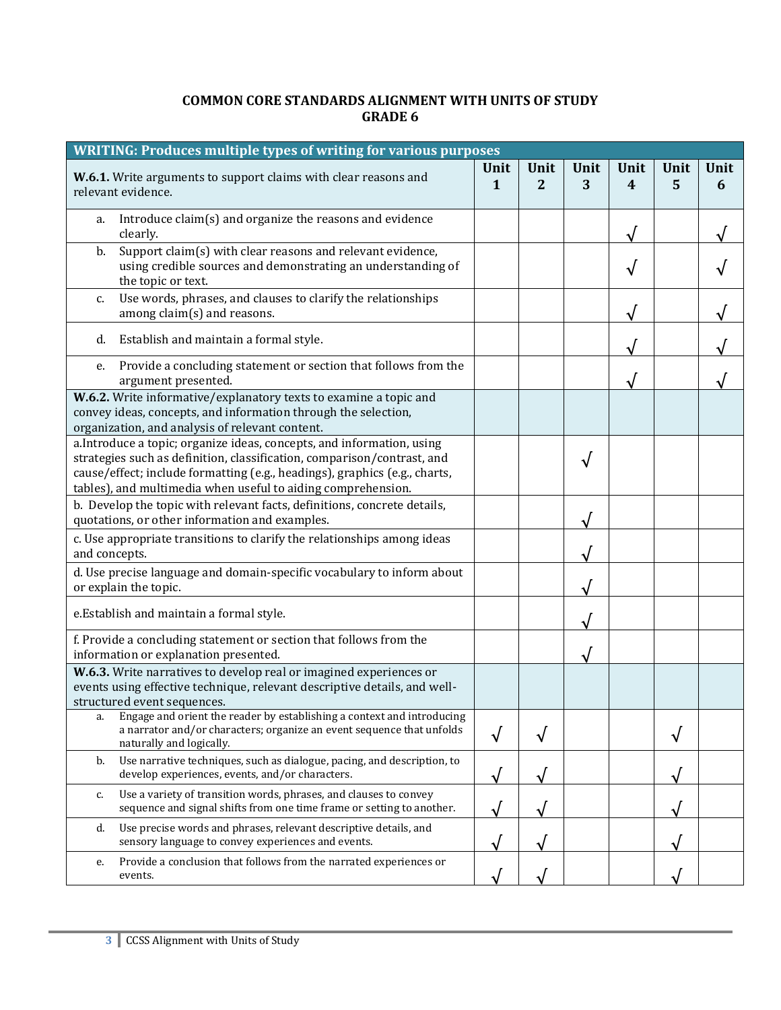| <b>WRITING: Produces multiple types of writing for various purposes</b>                                                                                                                                                                                                                         |           |                        |           |                                 |           |           |  |
|-------------------------------------------------------------------------------------------------------------------------------------------------------------------------------------------------------------------------------------------------------------------------------------------------|-----------|------------------------|-----------|---------------------------------|-----------|-----------|--|
| W.6.1. Write arguments to support claims with clear reasons and<br>relevant evidence.                                                                                                                                                                                                           | Unit<br>1 | Unit<br>$\overline{2}$ | Unit<br>3 | Unit<br>$\overline{\mathbf{4}}$ | Unit<br>5 | Unit<br>6 |  |
| Introduce claim(s) and organize the reasons and evidence<br>a.<br>clearly.                                                                                                                                                                                                                      |           |                        |           |                                 |           |           |  |
| Support claim(s) with clear reasons and relevant evidence,<br>b.<br>using credible sources and demonstrating an understanding of<br>the topic or text.                                                                                                                                          |           |                        |           | √                               |           |           |  |
| Use words, phrases, and clauses to clarify the relationships<br>c.<br>among claim(s) and reasons.                                                                                                                                                                                               |           |                        |           |                                 |           |           |  |
| Establish and maintain a formal style.<br>d.                                                                                                                                                                                                                                                    |           |                        |           |                                 |           |           |  |
| Provide a concluding statement or section that follows from the<br>e.<br>argument presented.                                                                                                                                                                                                    |           |                        |           |                                 |           |           |  |
| W.6.2. Write informative/explanatory texts to examine a topic and<br>convey ideas, concepts, and information through the selection,<br>organization, and analysis of relevant content.                                                                                                          |           |                        |           |                                 |           |           |  |
| a. Introduce a topic; organize ideas, concepts, and information, using<br>strategies such as definition, classification, comparison/contrast, and<br>cause/effect; include formatting (e.g., headings), graphics (e.g., charts,<br>tables), and multimedia when useful to aiding comprehension. |           |                        | √         |                                 |           |           |  |
| b. Develop the topic with relevant facts, definitions, concrete details,<br>quotations, or other information and examples.                                                                                                                                                                      |           |                        |           |                                 |           |           |  |
| c. Use appropriate transitions to clarify the relationships among ideas<br>and concepts.                                                                                                                                                                                                        |           |                        |           |                                 |           |           |  |
| d. Use precise language and domain-specific vocabulary to inform about<br>or explain the topic.                                                                                                                                                                                                 |           |                        |           |                                 |           |           |  |
| e.Establish and maintain a formal style.                                                                                                                                                                                                                                                        |           |                        |           |                                 |           |           |  |
| f. Provide a concluding statement or section that follows from the<br>information or explanation presented.                                                                                                                                                                                     |           |                        |           |                                 |           |           |  |
| W.6.3. Write narratives to develop real or imagined experiences or<br>events using effective technique, relevant descriptive details, and well-<br>structured event sequences.                                                                                                                  |           |                        |           |                                 |           |           |  |
| Engage and orient the reader by establishing a context and introducing<br>a.<br>a narrator and/or characters; organize an event sequence that unfolds<br>naturally and logically.                                                                                                               | $\sqrt{}$ | √                      |           |                                 |           |           |  |
| Use narrative techniques, such as dialogue, pacing, and description, to<br>b.<br>develop experiences, events, and/or characters.                                                                                                                                                                | √         |                        |           |                                 |           |           |  |
| Use a variety of transition words, phrases, and clauses to convey<br>c.<br>sequence and signal shifts from one time frame or setting to another.                                                                                                                                                |           |                        |           |                                 |           |           |  |
| Use precise words and phrases, relevant descriptive details, and<br>d.<br>sensory language to convey experiences and events.                                                                                                                                                                    |           |                        |           |                                 |           |           |  |
| Provide a conclusion that follows from the narrated experiences or<br>e.<br>events.                                                                                                                                                                                                             |           |                        |           |                                 |           |           |  |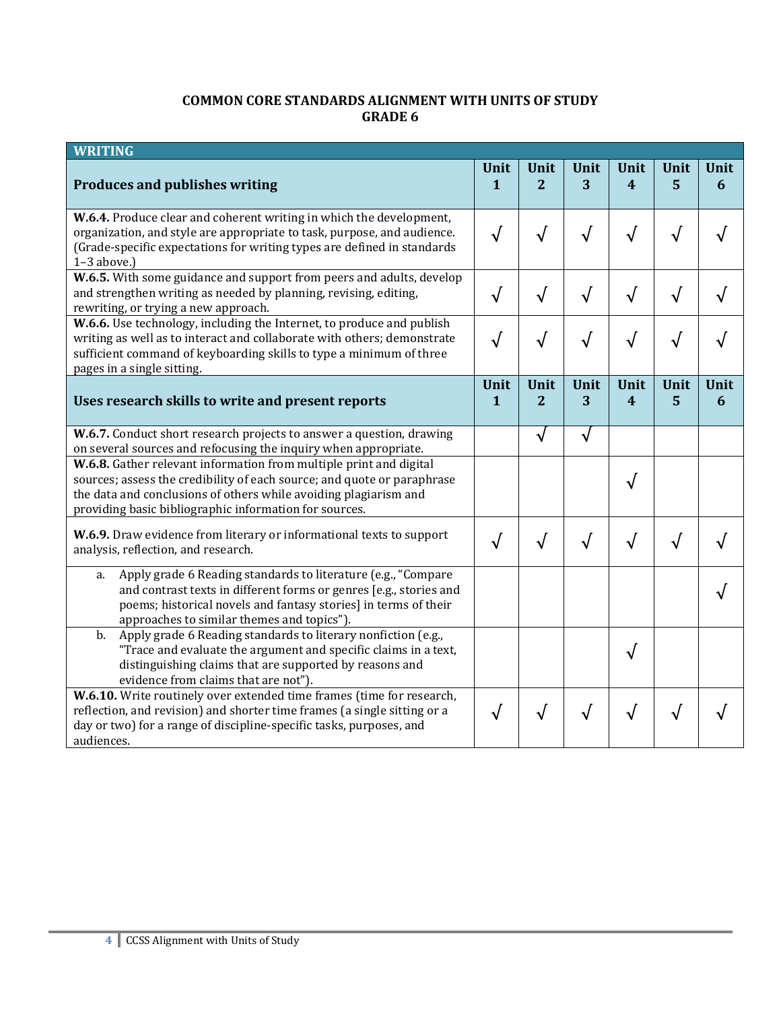| <b>WRITING</b>                                                                                                                                                                                                                                                              |                      |                        |           |                                 |           |           |
|-----------------------------------------------------------------------------------------------------------------------------------------------------------------------------------------------------------------------------------------------------------------------------|----------------------|------------------------|-----------|---------------------------------|-----------|-----------|
| <b>Produces and publishes writing</b>                                                                                                                                                                                                                                       | Unit<br>$\mathbf{1}$ | Unit<br>$\overline{2}$ | Unit<br>3 | Unit<br>$\overline{\mathbf{4}}$ | Unit<br>5 | Unit<br>6 |
| W.6.4. Produce clear and coherent writing in which the development,<br>organization, and style are appropriate to task, purpose, and audience.<br>(Grade-specific expectations for writing types are defined in standards<br>$1-3$ above.)                                  | $\sqrt{ }$           | √                      | $\sqrt{}$ | √                               | $\sqrt{}$ |           |
| W.6.5. With some guidance and support from peers and adults, develop<br>and strengthen writing as needed by planning, revising, editing,<br>rewriting, or trying a new approach.                                                                                            | $\sqrt{}$            | $\sqrt{}$              | √         | √                               |           |           |
| W.6.6. Use technology, including the Internet, to produce and publish<br>writing as well as to interact and collaborate with others; demonstrate<br>sufficient command of keyboarding skills to type a minimum of three<br>pages in a single sitting.                       | √                    | √                      | $\sqrt{}$ | $\sqrt{}$                       | √         |           |
| Uses research skills to write and present reports                                                                                                                                                                                                                           | Unit<br>$\mathbf{1}$ | Unit<br>$\overline{2}$ | Unit<br>3 | Unit<br>$\overline{4}$          | Unit<br>5 | Unit<br>6 |
| W.6.7. Conduct short research projects to answer a question, drawing<br>on several sources and refocusing the inquiry when appropriate.                                                                                                                                     |                      | √                      | √         |                                 |           |           |
| W.6.8. Gather relevant information from multiple print and digital<br>sources; assess the credibility of each source; and quote or paraphrase<br>the data and conclusions of others while avoiding plagiarism and<br>providing basic bibliographic information for sources. |                      |                        |           | √                               |           |           |
| W.6.9. Draw evidence from literary or informational texts to support<br>analysis, reflection, and research.                                                                                                                                                                 | $\sqrt{ }$           | √                      | √         | √                               |           |           |
| Apply grade 6 Reading standards to literature (e.g., "Compare<br>a.<br>and contrast texts in different forms or genres [e.g., stories and<br>poems; historical novels and fantasy stories] in terms of their<br>approaches to similar themes and topics").                  |                      |                        |           |                                 |           |           |
| Apply grade 6 Reading standards to literary nonfiction (e.g.,<br>b.<br>"Trace and evaluate the argument and specific claims in a text,<br>distinguishing claims that are supported by reasons and<br>evidence from claims that are not").                                   |                      |                        |           | √                               |           |           |
| W.6.10. Write routinely over extended time frames (time for research,<br>reflection, and revision) and shorter time frames (a single sitting or a<br>day or two) for a range of discipline-specific tasks, purposes, and<br>audiences.                                      | $\sqrt{}$            | √                      | $\sqrt{}$ | $\sqrt{}$                       | √         |           |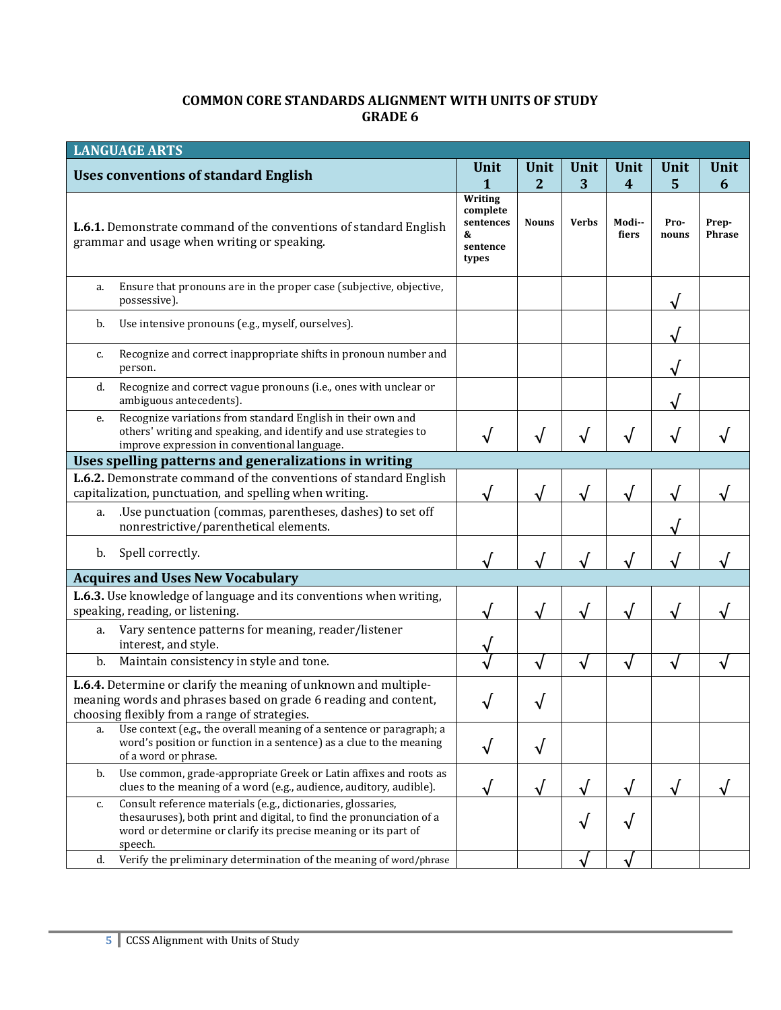| <b>LANGUAGE ARTS</b> |                                                                                                                                                                                                                    |                                                            |                        |              |                                 |               |                        |
|----------------------|--------------------------------------------------------------------------------------------------------------------------------------------------------------------------------------------------------------------|------------------------------------------------------------|------------------------|--------------|---------------------------------|---------------|------------------------|
|                      | <b>Uses conventions of standard English</b>                                                                                                                                                                        | <b>Unit</b><br>1                                           | Unit<br>$\overline{2}$ | Unit<br>3    | Unit<br>$\overline{\mathbf{4}}$ | Unit<br>5     | Unit<br>6              |
|                      | <b>L.6.1.</b> Demonstrate command of the conventions of standard English<br>grammar and usage when writing or speaking.                                                                                            | Writing<br>complete<br>sentences<br>&<br>sentence<br>types | <b>Nouns</b>           | <b>Verbs</b> | Modi--<br>fiers                 | Pro-<br>nouns | Prep-<br><b>Phrase</b> |
| a.                   | Ensure that pronouns are in the proper case (subjective, objective,<br>possessive).                                                                                                                                |                                                            |                        |              |                                 |               |                        |
| b.                   | Use intensive pronouns (e.g., myself, ourselves).                                                                                                                                                                  |                                                            |                        |              |                                 |               |                        |
| c.                   | Recognize and correct inappropriate shifts in pronoun number and<br>person.                                                                                                                                        |                                                            |                        |              |                                 |               |                        |
| d.                   | Recognize and correct vague pronouns (i.e., ones with unclear or<br>ambiguous antecedents).                                                                                                                        |                                                            |                        |              |                                 |               |                        |
| e.                   | Recognize variations from standard English in their own and<br>others' writing and speaking, and identify and use strategies to<br>improve expression in conventional language.                                    |                                                            | √                      |              |                                 |               |                        |
|                      | Uses spelling patterns and generalizations in writing                                                                                                                                                              |                                                            |                        |              |                                 |               |                        |
|                      | L.6.2. Demonstrate command of the conventions of standard English<br>capitalization, punctuation, and spelling when writing.                                                                                       |                                                            |                        |              |                                 |               |                        |
| a.                   | .Use punctuation (commas, parentheses, dashes) to set off<br>nonrestrictive/parenthetical elements.                                                                                                                |                                                            |                        |              |                                 |               |                        |
| b.                   | Spell correctly.                                                                                                                                                                                                   |                                                            |                        |              |                                 |               |                        |
|                      | <b>Acquires and Uses New Vocabulary</b>                                                                                                                                                                            |                                                            |                        |              |                                 |               |                        |
|                      | L.6.3. Use knowledge of language and its conventions when writing,<br>speaking, reading, or listening.                                                                                                             |                                                            |                        |              |                                 |               |                        |
| a.                   | Vary sentence patterns for meaning, reader/listener<br>interest, and style.                                                                                                                                        |                                                            |                        |              |                                 |               |                        |
| $\mathbf{b}$ .       | Maintain consistency in style and tone.                                                                                                                                                                            |                                                            | Ñ                      |              | √                               |               |                        |
|                      | L.6.4. Determine or clarify the meaning of unknown and multiple-<br>meaning words and phrases based on grade 6 reading and content,<br>choosing flexibly from a range of strategies.                               |                                                            |                        |              |                                 |               |                        |
| a.                   | Use context (e.g., the overall meaning of a sentence or paragraph; a<br>word's position or function in a sentence) as a clue to the meaning<br>of a word or phrase.                                                |                                                            | $\sqrt{ }$             |              |                                 |               |                        |
| b.                   | Use common, grade-appropriate Greek or Latin affixes and roots as<br>clues to the meaning of a word (e.g., audience, auditory, audible).                                                                           |                                                            | $\sqrt{ }$             |              | √                               |               |                        |
| c.                   | Consult reference materials (e.g., dictionaries, glossaries,<br>thesauruses), both print and digital, to find the pronunciation of a<br>word or determine or clarify its precise meaning or its part of<br>speech. |                                                            |                        | √            | √                               |               |                        |
| d.                   | Verify the preliminary determination of the meaning of word/phrase                                                                                                                                                 |                                                            |                        |              |                                 |               |                        |